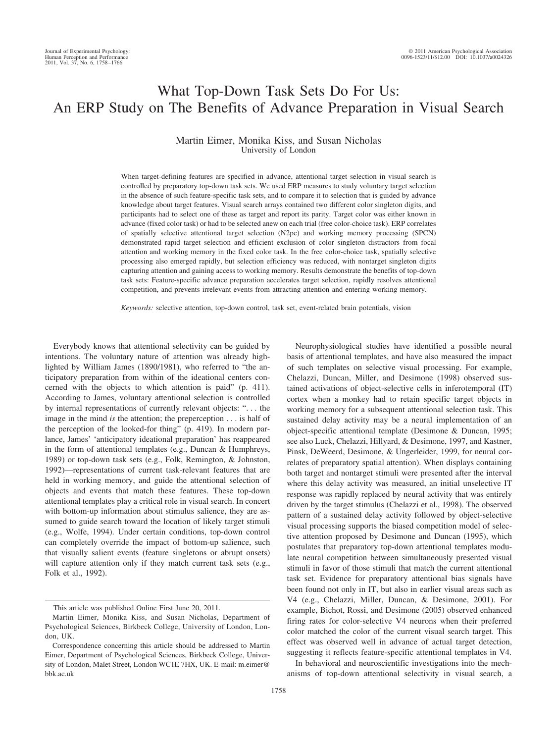# What Top-Down Task Sets Do For Us: An ERP Study on The Benefits of Advance Preparation in Visual Search

## Martin Eimer, Monika Kiss, and Susan Nicholas University of London

When target-defining features are specified in advance, attentional target selection in visual search is controlled by preparatory top-down task sets. We used ERP measures to study voluntary target selection in the absence of such feature-specific task sets, and to compare it to selection that is guided by advance knowledge about target features. Visual search arrays contained two different color singleton digits, and participants had to select one of these as target and report its parity. Target color was either known in advance (fixed color task) or had to be selected anew on each trial (free color-choice task). ERP correlates of spatially selective attentional target selection (N2pc) and working memory processing (SPCN) demonstrated rapid target selection and efficient exclusion of color singleton distractors from focal attention and working memory in the fixed color task. In the free color-choice task, spatially selective processing also emerged rapidly, but selection efficiency was reduced, with nontarget singleton digits capturing attention and gaining access to working memory. Results demonstrate the benefits of top-down task sets: Feature-specific advance preparation accelerates target selection, rapidly resolves attentional competition, and prevents irrelevant events from attracting attention and entering working memory.

*Keywords:* selective attention, top-down control, task set, event-related brain potentials, vision

Everybody knows that attentional selectivity can be guided by intentions. The voluntary nature of attention was already highlighted by William James (1890/1981), who referred to "the anticipatory preparation from within of the ideational centers concerned with the objects to which attention is paid" (p. 411). According to James, voluntary attentional selection is controlled by internal representations of currently relevant objects: ". . . the image in the mind *is* the attention; the preperception . . . is half of the perception of the looked-for thing" (p. 419). In modern parlance, James' 'anticipatory ideational preparation' has reappeared in the form of attentional templates (e.g., Duncan & Humphreys, 1989) or top-down task sets (e.g., Folk, Remington, & Johnston, 1992)—representations of current task-relevant features that are held in working memory, and guide the attentional selection of objects and events that match these features. These top-down attentional templates play a critical role in visual search. In concert with bottom-up information about stimulus salience, they are assumed to guide search toward the location of likely target stimuli (e.g., Wolfe, 1994). Under certain conditions, top-down control can completely override the impact of bottom-up salience, such that visually salient events (feature singletons or abrupt onsets) will capture attention only if they match current task sets (e.g., Folk et al., 1992).

Neurophysiological studies have identified a possible neural basis of attentional templates, and have also measured the impact of such templates on selective visual processing. For example, Chelazzi, Duncan, Miller, and Desimone (1998) observed sustained activations of object-selective cells in inferotemporal (IT) cortex when a monkey had to retain specific target objects in working memory for a subsequent attentional selection task. This sustained delay activity may be a neural implementation of an object-specific attentional template (Desimone & Duncan, 1995; see also Luck, Chelazzi, Hillyard, & Desimone, 1997, and Kastner, Pinsk, DeWeerd, Desimone, & Ungerleider, 1999, for neural correlates of preparatory spatial attention). When displays containing both target and nontarget stimuli were presented after the interval where this delay activity was measured, an initial unselective IT response was rapidly replaced by neural activity that was entirely driven by the target stimulus (Chelazzi et al., 1998). The observed pattern of a sustained delay activity followed by object-selective visual processing supports the biased competition model of selective attention proposed by Desimone and Duncan (1995), which postulates that preparatory top-down attentional templates modulate neural competition between simultaneously presented visual stimuli in favor of those stimuli that match the current attentional task set. Evidence for preparatory attentional bias signals have been found not only in IT, but also in earlier visual areas such as V4 (e.g., Chelazzi, Miller, Duncan, & Desimone, 2001). For example, Bichot, Rossi, and Desimone (2005) observed enhanced firing rates for color-selective V4 neurons when their preferred color matched the color of the current visual search target. This effect was observed well in advance of actual target detection, suggesting it reflects feature-specific attentional templates in V4.

In behavioral and neuroscientific investigations into the mechanisms of top-down attentional selectivity in visual search, a

This article was published Online First June 20, 2011.

Martin Eimer, Monika Kiss, and Susan Nicholas, Department of Psychological Sciences, Birkbeck College, University of London, London, UK.

Correspondence concerning this article should be addressed to Martin Eimer, Department of Psychological Sciences, Birkbeck College, University of London, Malet Street, London WC1E 7HX, UK. E-mail: m.eimer@ bbk.ac.uk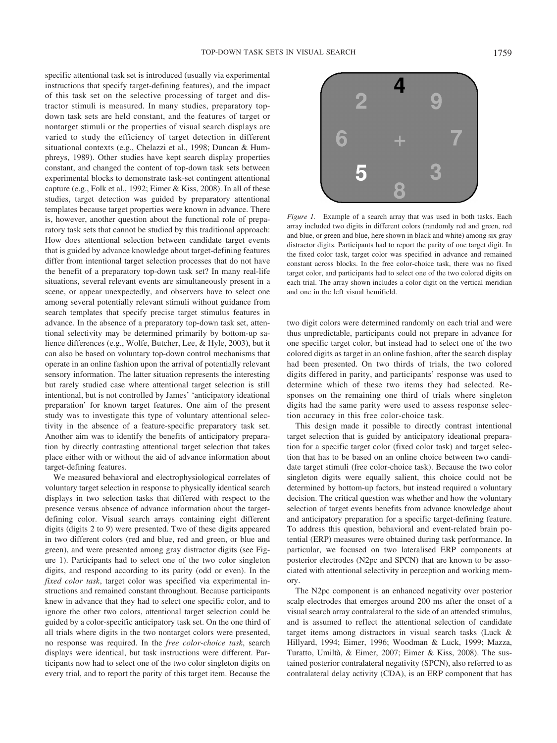specific attentional task set is introduced (usually via experimental instructions that specify target-defining features), and the impact of this task set on the selective processing of target and distractor stimuli is measured. In many studies, preparatory topdown task sets are held constant, and the features of target or nontarget stimuli or the properties of visual search displays are varied to study the efficiency of target detection in different situational contexts (e.g., Chelazzi et al., 1998; Duncan & Humphreys, 1989). Other studies have kept search display properties constant, and changed the content of top-down task sets between experimental blocks to demonstrate task-set contingent attentional capture (e.g., Folk et al., 1992; Eimer & Kiss, 2008). In all of these studies, target detection was guided by preparatory attentional templates because target properties were known in advance. There is, however, another question about the functional role of preparatory task sets that cannot be studied by this traditional approach: How does attentional selection between candidate target events that is guided by advance knowledge about target-defining features differ from intentional target selection processes that do not have the benefit of a preparatory top-down task set? In many real-life situations, several relevant events are simultaneously present in a scene, or appear unexpectedly, and observers have to select one among several potentially relevant stimuli without guidance from search templates that specify precise target stimulus features in advance. In the absence of a preparatory top-down task set, attentional selectivity may be determined primarily by bottom-up salience differences (e.g., Wolfe, Butcher, Lee, & Hyle, 2003), but it can also be based on voluntary top-down control mechanisms that operate in an online fashion upon the arrival of potentially relevant sensory information. The latter situation represents the interesting but rarely studied case where attentional target selection is still intentional, but is not controlled by James' 'anticipatory ideational preparation' for known target features. One aim of the present study was to investigate this type of voluntary attentional selectivity in the absence of a feature-specific preparatory task set. Another aim was to identify the benefits of anticipatory preparation by directly contrasting attentional target selection that takes place either with or without the aid of advance information about target-defining features.

We measured behavioral and electrophysiological correlates of voluntary target selection in response to physically identical search displays in two selection tasks that differed with respect to the presence versus absence of advance information about the targetdefining color. Visual search arrays containing eight different digits (digits 2 to 9) were presented. Two of these digits appeared in two different colors (red and blue, red and green, or blue and green), and were presented among gray distractor digits (see Figure 1). Participants had to select one of the two color singleton digits, and respond according to its parity (odd or even). In the *fixed color task*, target color was specified via experimental instructions and remained constant throughout. Because participants knew in advance that they had to select one specific color, and to ignore the other two colors, attentional target selection could be guided by a color-specific anticipatory task set. On the one third of all trials where digits in the two nontarget colors were presented, no response was required. In the *free color-choice task*, search displays were identical, but task instructions were different. Participants now had to select one of the two color singleton digits on every trial, and to report the parity of this target item. Because the



*Figure 1.* Example of a search array that was used in both tasks. Each array included two digits in different colors (randomly red and green, red and blue, or green and blue, here shown in black and white) among six gray distractor digits. Participants had to report the parity of one target digit. In the fixed color task, target color was specified in advance and remained constant across blocks. In the free color-choice task, there was no fixed target color, and participants had to select one of the two colored digits on each trial. The array shown includes a color digit on the vertical meridian and one in the left visual hemifield.

two digit colors were determined randomly on each trial and were thus unpredictable, participants could not prepare in advance for one specific target color, but instead had to select one of the two colored digits as target in an online fashion, after the search display had been presented. On two thirds of trials, the two colored digits differed in parity, and participants' response was used to determine which of these two items they had selected. Responses on the remaining one third of trials where singleton digits had the same parity were used to assess response selection accuracy in this free color-choice task.

This design made it possible to directly contrast intentional target selection that is guided by anticipatory ideational preparation for a specific target color (fixed color task) and target selection that has to be based on an online choice between two candidate target stimuli (free color-choice task). Because the two color singleton digits were equally salient, this choice could not be determined by bottom-up factors, but instead required a voluntary decision. The critical question was whether and how the voluntary selection of target events benefits from advance knowledge about and anticipatory preparation for a specific target-defining feature. To address this question, behavioral and event-related brain potential (ERP) measures were obtained during task performance. In particular, we focused on two lateralised ERP components at posterior electrodes (N2pc and SPCN) that are known to be associated with attentional selectivity in perception and working memory.

The N2pc component is an enhanced negativity over posterior scalp electrodes that emerges around 200 ms after the onset of a visual search array contralateral to the side of an attended stimulus, and is assumed to reflect the attentional selection of candidate target items among distractors in visual search tasks (Luck & Hillyard, 1994; Eimer, 1996; Woodman & Luck, 1999; Mazza, Turatto, Umiltà, & Eimer, 2007; Eimer & Kiss, 2008). The sustained posterior contralateral negativity (SPCN), also referred to as contralateral delay activity (CDA), is an ERP component that has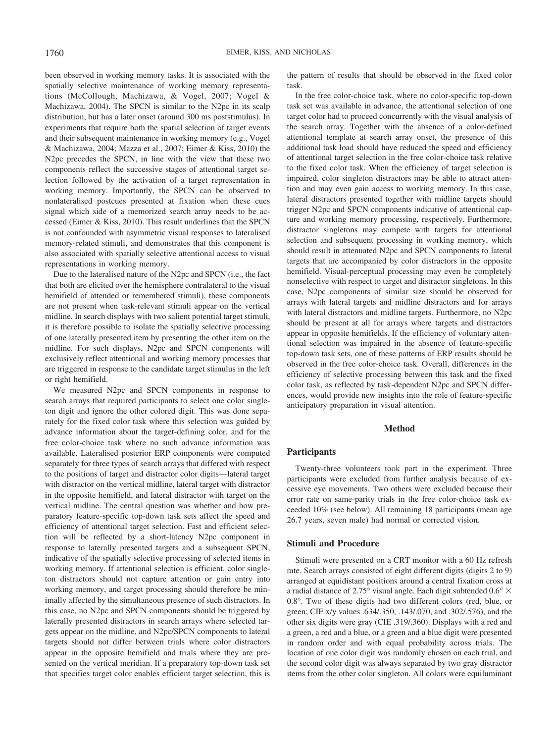been observed in working memory tasks. It is associated with the spatially selective maintenance of working memory representations (McCollough, Machizawa, & Vogel, 2007; Vogel & Machizawa, 2004). The SPCN is similar to the N2pc in its scalp distribution, but has a later onset (around 300 ms poststimulus). In experiments that require both the spatial selection of target events and their subsequent maintenance in working memory (e.g., Vogel & Machizawa, 2004; Mazza et al., 2007; Eimer & Kiss, 2010) the N2pc precedes the SPCN, in line with the view that these two components reflect the successive stages of attentional target selection followed by the activation of a target representation in working memory. Importantly, the SPCN can be observed to nonlateralised postcues presented at fixation when these cues signal which side of a memorized search array needs to be accessed (Eimer & Kiss, 2010). This result underlines that the SPCN is not confounded with asymmetric visual responses to lateralised memory-related stimuli, and demonstrates that this component is also associated with spatially selective attentional access to visual representations in working memory.

Due to the lateralised nature of the N2pc and SPCN (i.e., the fact that both are elicited over the hemisphere contralateral to the visual hemifield of attended or remembered stimuli), these components are not present when task-relevant stimuli appear on the vertical midline. In search displays with two salient potential target stimuli, it is therefore possible to isolate the spatially selective processing of one laterally presented item by presenting the other item on the midline. For such displays, N2pc and SPCN components will exclusively reflect attentional and working memory processes that are triggered in response to the candidate target stimulus in the left or right hemifield.

We measured N2pc and SPCN components in response to search arrays that required participants to select one color singleton digit and ignore the other colored digit. This was done separately for the fixed color task where this selection was guided by advance information about the target-defining color, and for the free color-choice task where no such advance information was available. Lateralised posterior ERP components were computed separately for three types of search arrays that differed with respect to the positions of target and distractor color digits—lateral target with distractor on the vertical midline, lateral target with distractor in the opposite hemifield, and lateral distractor with target on the vertical midline. The central question was whether and how preparatory feature-specific top-down task sets affect the speed and efficiency of attentional target selection. Fast and efficient selection will be reflected by a short-latency N2pc component in response to laterally presented targets and a subsequent SPCN, indicative of the spatially selective processing of selected items in working memory. If attentional selection is efficient, color singleton distractors should not capture attention or gain entry into working memory, and target processing should therefore be minimally affected by the simultaneous presence of such distractors. In this case, no N2pc and SPCN components should be triggered by laterally presented distractors in search arrays where selected targets appear on the midline, and N2pc/SPCN components to lateral targets should not differ between trials where color distractors appear in the opposite hemifield and trials where they are presented on the vertical meridian. If a preparatory top-down task set that specifies target color enables efficient target selection, this is the pattern of results that should be observed in the fixed color task.

In the free color-choice task, where no color-specific top-down task set was available in advance, the attentional selection of one target color had to proceed concurrently with the visual analysis of the search array. Together with the absence of a color-defined attentional template at search array onset, the presence of this additional task load should have reduced the speed and efficiency of attentional target selection in the free color-choice task relative to the fixed color task. When the efficiency of target selection is impaired, color singleton distractors may be able to attract attention and may even gain access to working memory. In this case, lateral distractors presented together with midline targets should trigger N2pc and SPCN components indicative of attentional capture and working memory processing, respectively. Furthermore, distractor singletons may compete with targets for attentional selection and subsequent processing in working memory, which should result in attenuated N2pc and SPCN components to lateral targets that are accompanied by color distractors in the opposite hemifield. Visual-perceptual processing may even be completely nonselective with respect to target and distractor singletons. In this case, N2pc components of similar size should be observed for arrays with lateral targets and midline distractors and for arrays with lateral distractors and midline targets. Furthermore, no N2pc should be present at all for arrays where targets and distractors appear in opposite hemifields. If the efficiency of voluntary attentional selection was impaired in the absence of feature-specific top-down task sets, one of these patterns of ERP results should be observed in the free color-choice task. Overall, differences in the efficiency of selective processing between this task and the fixed color task, as reflected by task-dependent N2pc and SPCN differences, would provide new insights into the role of feature-specific anticipatory preparation in visual attention.

#### **Method**

#### **Participants**

Twenty-three volunteers took part in the experiment. Three participants were excluded from further analysis because of excessive eye movements. Two others were excluded because their error rate on same-parity trials in the free color-choice task exceeded 10% (see below). All remaining 18 participants (mean age 26.7 years, seven male) had normal or corrected vision.

## **Stimuli and Procedure**

Stimuli were presented on a CRT monitor with a 60 Hz refresh rate. Search arrays consisted of eight different digits (digits 2 to 9) arranged at equidistant positions around a central fixation cross at a radial distance of 2.75° visual angle. Each digit subtended  $0.6^{\circ} \times$ 0.8°. Two of these digits had two different colors (red, blue, or green; CIE x/y values .634/.350, .143/.070, and .302/.576), and the other six digits were gray (CIE .319/.360). Displays with a red and a green, a red and a blue, or a green and a blue digit were presented in random order and with equal probability across trials. The location of one color digit was randomly chosen on each trial, and the second color digit was always separated by two gray distractor items from the other color singleton. All colors were equiluminant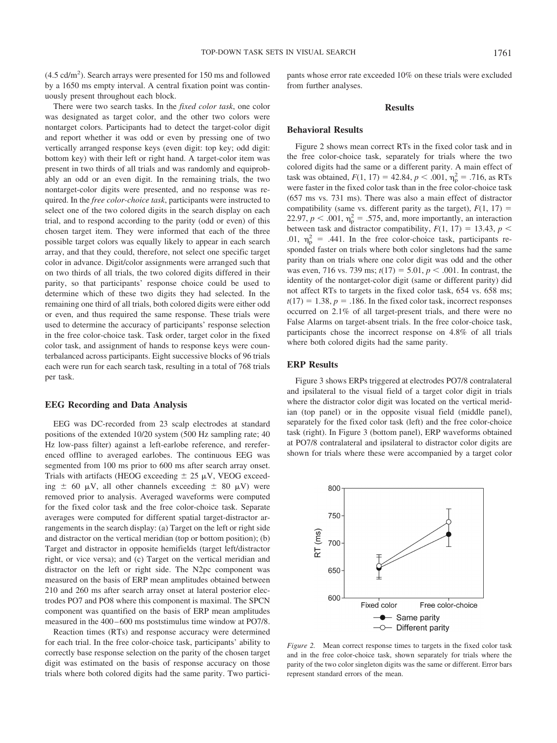$(4.5 \text{ cd/m}^2)$ . Search arrays were presented for 150 ms and followed by a 1650 ms empty interval. A central fixation point was continuously present throughout each block.

There were two search tasks. In the *fixed color task*, one color was designated as target color, and the other two colors were nontarget colors. Participants had to detect the target-color digit and report whether it was odd or even by pressing one of two vertically arranged response keys (even digit: top key; odd digit: bottom key) with their left or right hand. A target-color item was present in two thirds of all trials and was randomly and equiprobably an odd or an even digit. In the remaining trials, the two nontarget-color digits were presented, and no response was required. In the *free color-choice task*, participants were instructed to select one of the two colored digits in the search display on each trial, and to respond according to the parity (odd or even) of this chosen target item. They were informed that each of the three possible target colors was equally likely to appear in each search array, and that they could, therefore, not select one specific target color in advance. Digit/color assignments were arranged such that on two thirds of all trials, the two colored digits differed in their parity, so that participants' response choice could be used to determine which of these two digits they had selected. In the remaining one third of all trials, both colored digits were either odd or even, and thus required the same response. These trials were used to determine the accuracy of participants' response selection in the free color-choice task. Task order, target color in the fixed color task, and assignment of hands to response keys were counterbalanced across participants. Eight successive blocks of 96 trials each were run for each search task, resulting in a total of 768 trials per task.

#### **EEG Recording and Data Analysis**

EEG was DC-recorded from 23 scalp electrodes at standard positions of the extended 10/20 system (500 Hz sampling rate; 40 Hz low-pass filter) against a left-earlobe reference, and rereferenced offline to averaged earlobes. The continuous EEG was segmented from 100 ms prior to 600 ms after search array onset. Trials with artifacts (HEOG exceeding  $\pm$  25  $\mu$ V, VEOG exceeding  $\pm$  60 µV, all other channels exceeding  $\pm$  80 µV) were removed prior to analysis. Averaged waveforms were computed for the fixed color task and the free color-choice task. Separate averages were computed for different spatial target-distractor arrangements in the search display: (a) Target on the left or right side and distractor on the vertical meridian (top or bottom position); (b) Target and distractor in opposite hemifields (target left/distractor right, or vice versa); and (c) Target on the vertical meridian and distractor on the left or right side. The N2pc component was measured on the basis of ERP mean amplitudes obtained between 210 and 260 ms after search array onset at lateral posterior electrodes PO7 and PO8 where this component is maximal. The SPCN component was quantified on the basis of ERP mean amplitudes measured in the 400–600 ms poststimulus time window at PO7/8.

Reaction times (RTs) and response accuracy were determined for each trial. In the free color-choice task, participants' ability to correctly base response selection on the parity of the chosen target digit was estimated on the basis of response accuracy on those trials where both colored digits had the same parity. Two participants whose error rate exceeded 10% on these trials were excluded from further analyses.

## **Results**

## **Behavioral Results**

Figure 2 shows mean correct RTs in the fixed color task and in the free color-choice task, separately for trials where the two colored digits had the same or a different parity. A main effect of task was obtained,  $F(1, 17) = 42.84$ ,  $p < .001$ ,  $\eta_p^2 = .716$ , as RTs were faster in the fixed color task than in the free color-choice task (657 ms vs. 731 ms). There was also a main effect of distractor compatibility (same vs. different parity as the target),  $F(1, 17) =$ 22.97,  $p < .001$ ,  $\eta_p^2 = .575$ , and, more importantly, an interaction between task and distractor compatibility,  $F(1, 17) = 13.43$ ,  $p <$ .01,  $\eta_p^2$  = .441. In the free color-choice task, participants responded faster on trials where both color singletons had the same parity than on trials where one color digit was odd and the other was even, 716 vs. 739 ms;  $t(17) = 5.01$ ,  $p < .001$ . In contrast, the identity of the nontarget-color digit (same or different parity) did not affect RTs to targets in the fixed color task, 654 vs. 658 ms;  $t(17) = 1.38$ ,  $p = .186$ . In the fixed color task, incorrect responses occurred on 2.1% of all target-present trials, and there were no False Alarms on target-absent trials. In the free color-choice task, participants chose the incorrect response on 4.8% of all trials where both colored digits had the same parity.

## **ERP Results**

Figure 3 shows ERPs triggered at electrodes PO7/8 contralateral and ipsilateral to the visual field of a target color digit in trials where the distractor color digit was located on the vertical meridian (top panel) or in the opposite visual field (middle panel), separately for the fixed color task (left) and the free color-choice task (right). In Figure 3 (bottom panel), ERP waveforms obtained at PO7/8 contralateral and ipsilateral to distractor color digits are shown for trials where these were accompanied by a target color



*Figure 2.* Mean correct response times to targets in the fixed color task and in the free color-choice task, shown separately for trials where the parity of the two color singleton digits was the same or different. Error bars represent standard errors of the mean.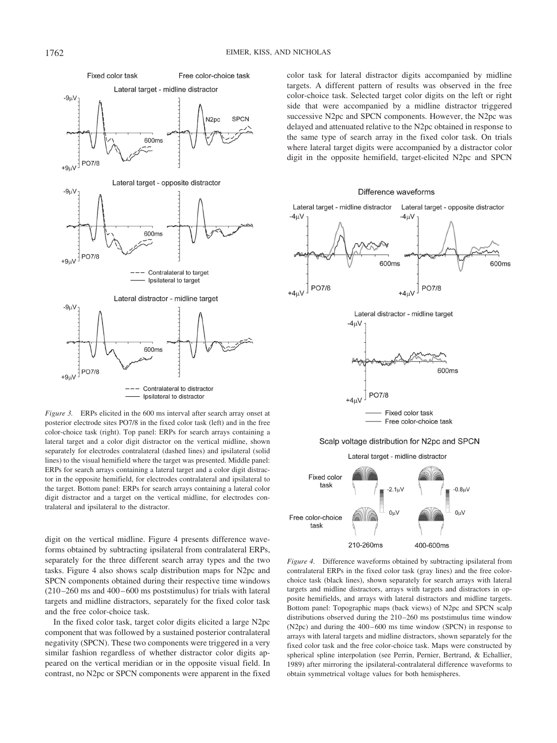

*Figure 3.* ERPs elicited in the 600 ms interval after search array onset at posterior electrode sites PO7/8 in the fixed color task (left) and in the free color-choice task (right). Top panel: ERPs for search arrays containing a lateral target and a color digit distractor on the vertical midline, shown separately for electrodes contralateral (dashed lines) and ipsilateral (solid lines) to the visual hemifield where the target was presented. Middle panel: ERPs for search arrays containing a lateral target and a color digit distractor in the opposite hemifield, for electrodes contralateral and ipsilateral to the target. Bottom panel: ERPs for search arrays containing a lateral color digit distractor and a target on the vertical midline, for electrodes contralateral and ipsilateral to the distractor.

digit on the vertical midline. Figure 4 presents difference waveforms obtained by subtracting ipsilateral from contralateral ERPs, separately for the three different search array types and the two tasks. Figure 4 also shows scalp distribution maps for N2pc and SPCN components obtained during their respective time windows (210 –260 ms and 400 – 600 ms poststimulus) for trials with lateral targets and midline distractors, separately for the fixed color task and the free color-choice task.

In the fixed color task, target color digits elicited a large N2pc component that was followed by a sustained posterior contralateral negativity (SPCN). These two components were triggered in a very similar fashion regardless of whether distractor color digits appeared on the vertical meridian or in the opposite visual field. In contrast, no N2pc or SPCN components were apparent in the fixed color task for lateral distractor digits accompanied by midline targets. A different pattern of results was observed in the free color-choice task. Selected target color digits on the left or right side that were accompanied by a midline distractor triggered successive N2pc and SPCN components. However, the N2pc was delayed and attenuated relative to the N2pc obtained in response to the same type of search array in the fixed color task. On trials where lateral target digits were accompanied by a distractor color digit in the opposite hemifield, target-elicited N2pc and SPCN

### Difference waveforms



*Figure 4.* Difference waveforms obtained by subtracting ipsilateral from contralateral ERPs in the fixed color task (gray lines) and the free colorchoice task (black lines), shown separately for search arrays with lateral targets and midline distractors, arrays with targets and distractors in opposite hemifields, and arrays with lateral distractors and midline targets. Bottom panel: Topographic maps (back views) of N2pc and SPCN scalp distributions observed during the 210 –260 ms poststimulus time window (N2pc) and during the 400 – 600 ms time window (SPCN) in response to arrays with lateral targets and midline distractors, shown separately for the fixed color task and the free color-choice task. Maps were constructed by spherical spline interpolation (see Perrin, Pernier, Bertrand, & Echallier, 1989) after mirroring the ipsilateral-contralateral difference waveforms to obtain symmetrical voltage values for both hemispheres.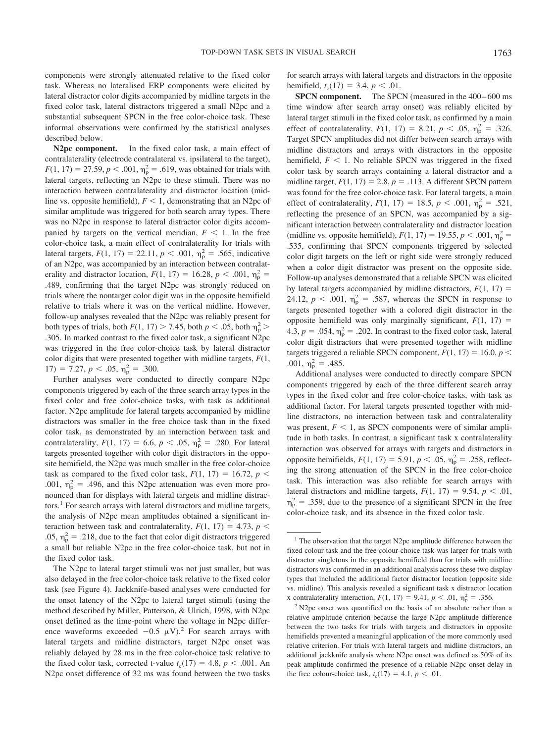components were strongly attenuated relative to the fixed color task. Whereas no lateralised ERP components were elicited by lateral distractor color digits accompanied by midline targets in the fixed color task, lateral distractors triggered a small N2pc and a substantial subsequent SPCN in the free color-choice task. These informal observations were confirmed by the statistical analyses described below.

**N2pc component.** In the fixed color task, a main effect of contralaterality (electrode contralateral vs. ipsilateral to the target),  $F(1, 17) = 27.59, p < .001, \eta_p^2 = .619$ , was obtained for trials with lateral targets, reflecting an N2pc to these stimuli. There was no interaction between contralaterality and distractor location (midline vs. opposite hemifield),  $F < 1$ , demonstrating that an N2pc of similar amplitude was triggered for both search array types. There was no N2pc in response to lateral distractor color digits accompanied by targets on the vertical meridian,  $F < 1$ . In the free color-choice task, a main effect of contralaterality for trials with lateral targets,  $F(1, 17) = 22.11$ ,  $p < .001$ ,  $\eta_p^2 = .565$ , indicative of an N2pc, was accompanied by an interaction between contralaterality and distractor location,  $F(1, 17) = 16.28, p < .001, \eta_{\rm p}^2 =$ .489, confirming that the target N2pc was strongly reduced on trials where the nontarget color digit was in the opposite hemifield relative to trials where it was on the vertical midline. However, follow-up analyses revealed that the N2pc was reliably present for both types of trials, both  $F(1, 17) > 7.45$ , both  $p < .05$ , both  $\eta_p^2$ .305. In marked contrast to the fixed color task, a significant N2pc was triggered in the free color-choice task by lateral distractor color digits that were presented together with midline targets, *F*(1, 17) = 7.27,  $p < .05$ ,  $\eta_p^2 = .300$ .

Further analyses were conducted to directly compare N2pc components triggered by each of the three search array types in the fixed color and free color-choice tasks, with task as additional factor. N2pc amplitude for lateral targets accompanied by midline distractors was smaller in the free choice task than in the fixed color task, as demonstrated by an interaction between task and contralaterality,  $F(1, 17) = 6.6, p < .05, \eta_{\rm p}^2 = .280$ . For lateral targets presented together with color digit distractors in the opposite hemifield, the N2pc was much smaller in the free color-choice task as compared to the fixed color task,  $F(1, 17) = 16.72$ ,  $p <$ .001,  $\eta_p^2$  = .496, and this N2pc attenuation was even more pronounced than for displays with lateral targets and midline distractors.<sup>1</sup> For search arrays with lateral distractors and midline targets, the analysis of N2pc mean amplitudes obtained a significant interaction between task and contralaterality,  $F(1, 17) = 4.73$ ,  $p \le$ .05,  $\eta_p^2 = .218$ , due to the fact that color digit distractors triggered a small but reliable N2pc in the free color-choice task, but not in the fixed color task.

The N2pc to lateral target stimuli was not just smaller, but was also delayed in the free color-choice task relative to the fixed color task (see Figure 4). Jackknife-based analyses were conducted for the onset latency of the N2pc to lateral target stimuli (using the method described by Miller, Patterson, & Ulrich, 1998, with N2pc onset defined as the time-point where the voltage in N2pc difference waveforms exceeded  $-0.5 \mu V$ .<sup>2</sup> For search arrays with lateral targets and midline distractors, target N2pc onset was reliably delayed by 28 ms in the free color-choice task relative to the fixed color task, corrected t-value  $t_c(17) = 4.8$ ,  $p < .001$ . An N2pc onset difference of 32 ms was found between the two tasks

for search arrays with lateral targets and distractors in the opposite hemifield,  $t_c(17) = 3.4, p < .01$ .

**SPCN component.** The SPCN (measured in the 400–600 ms time window after search array onset) was reliably elicited by lateral target stimuli in the fixed color task, as confirmed by a main effect of contralaterality,  $F(1, 17) = 8.21, p < .05, \eta_{\rm p}^2 = .326$ . Target SPCN amplitudes did not differ between search arrays with midline distractors and arrays with distractors in the opposite hemifield,  $F < 1$ . No reliable SPCN was triggered in the fixed color task by search arrays containing a lateral distractor and a midline target,  $F(1, 17) = 2.8$ ,  $p = .113$ . A different SPCN pattern was found for the free color-choice task. For lateral targets, a main effect of contralaterality,  $F(1, 17) = 18.5, p < .001, \eta_p^2 = .521$ , reflecting the presence of an SPCN, was accompanied by a significant interaction between contralaterality and distractor location (midline vs. opposite hemifield),  $F(1, 17) = 19.55, p < .001, \eta_p^2 =$ .535, confirming that SPCN components triggered by selected color digit targets on the left or right side were strongly reduced when a color digit distractor was present on the opposite side. Follow-up analyses demonstrated that a reliable SPCN was elicited by lateral targets accompanied by midline distractors,  $F(1, 17) =$ 24.12,  $p < .001$ ,  $\eta_{\rm p}^2 = .587$ , whereas the SPCN in response to targets presented together with a colored digit distractor in the opposite hemifield was only marginally significant,  $F(1, 17) =$ 4.3,  $p = .054$ ,  $\eta_p^2 = .202$ . In contrast to the fixed color task, lateral color digit distractors that were presented together with midline targets triggered a reliable SPCN component,  $F(1, 17) = 16.0, p <$ .001,  $\eta_p^2 = .485$ .

Additional analyses were conducted to directly compare SPCN components triggered by each of the three different search array types in the fixed color and free color-choice tasks, with task as additional factor. For lateral targets presented together with midline distractors, no interaction between task and contralaterality was present,  $F \leq 1$ , as SPCN components were of similar amplitude in both tasks. In contrast, a significant task x contralaterality interaction was observed for arrays with targets and distractors in opposite hemifields,  $F(1, 17) = 5.91$ ,  $p < .05$ ,  $\eta_p^2 = .258$ , reflecting the strong attenuation of the SPCN in the free color-choice task. This interaction was also reliable for search arrays with lateral distractors and midline targets,  $F(1, 17) = 9.54$ ,  $p < .01$ ,  $\eta_{\rm p}^2$  = .359, due to the presence of a significant SPCN in the free color-choice task, and its absence in the fixed color task.

<sup>&</sup>lt;sup>1</sup> The observation that the target N2pc amplitude difference between the fixed colour task and the free colour-choice task was larger for trials with distractor singletons in the opposite hemifield than for trials with midline distractors was confirmed in an additional analysis across these two display types that included the additional factor distractor location (opposite side vs. midline). This analysis revealed a significant task x distractor location x contralaterality interaction,  $F(1, 17) = 9.41$ ,  $p < .01$ ,  $\eta_p^2 = .356$ .

<sup>2</sup> N2pc onset was quantified on the basis of an absolute rather than a relative amplitude criterion because the large N2pc amplitude difference between the two tasks for trials with targets and distractors in opposite hemifields prevented a meaningful application of the more commonly used relative criterion. For trials with lateral targets and midline distractors, an additional jackknife analysis where N2pc onset was defined as 50% of its peak amplitude confirmed the presence of a reliable N2pc onset delay in the free colour-choice task,  $t_c(17) = 4.1$ ,  $p < .01$ .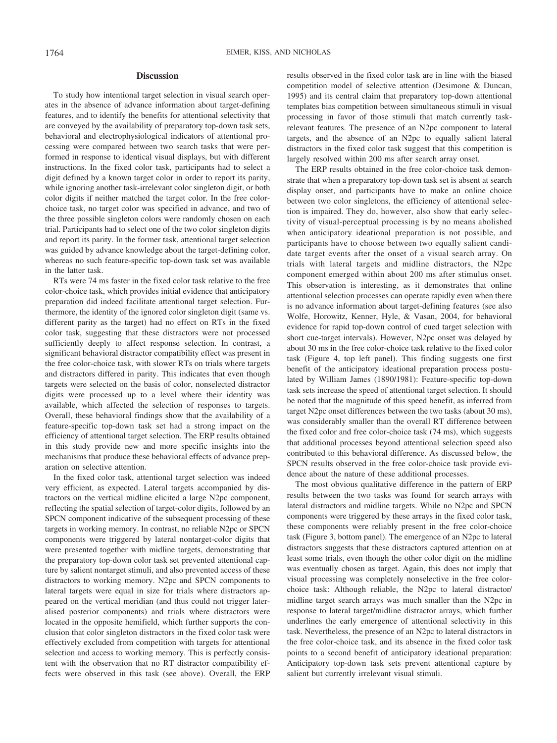## **Discussion**

To study how intentional target selection in visual search operates in the absence of advance information about target-defining features, and to identify the benefits for attentional selectivity that are conveyed by the availability of preparatory top-down task sets, behavioral and electrophysiological indicators of attentional processing were compared between two search tasks that were performed in response to identical visual displays, but with different instructions. In the fixed color task, participants had to select a digit defined by a known target color in order to report its parity, while ignoring another task-irrelevant color singleton digit, or both color digits if neither matched the target color. In the free colorchoice task, no target color was specified in advance, and two of the three possible singleton colors were randomly chosen on each trial. Participants had to select one of the two color singleton digits and report its parity. In the former task, attentional target selection was guided by advance knowledge about the target-defining color, whereas no such feature-specific top-down task set was available in the latter task.

RTs were 74 ms faster in the fixed color task relative to the free color-choice task, which provides initial evidence that anticipatory preparation did indeed facilitate attentional target selection. Furthermore, the identity of the ignored color singleton digit (same vs. different parity as the target) had no effect on RTs in the fixed color task, suggesting that these distractors were not processed sufficiently deeply to affect response selection. In contrast, a significant behavioral distractor compatibility effect was present in the free color-choice task, with slower RTs on trials where targets and distractors differed in parity. This indicates that even though targets were selected on the basis of color, nonselected distractor digits were processed up to a level where their identity was available, which affected the selection of responses to targets. Overall, these behavioral findings show that the availability of a feature-specific top-down task set had a strong impact on the efficiency of attentional target selection. The ERP results obtained in this study provide new and more specific insights into the mechanisms that produce these behavioral effects of advance preparation on selective attention.

In the fixed color task, attentional target selection was indeed very efficient, as expected. Lateral targets accompanied by distractors on the vertical midline elicited a large N2pc component, reflecting the spatial selection of target-color digits, followed by an SPCN component indicative of the subsequent processing of these targets in working memory. In contrast, no reliable N2pc or SPCN components were triggered by lateral nontarget-color digits that were presented together with midline targets, demonstrating that the preparatory top-down color task set prevented attentional capture by salient nontarget stimuli, and also prevented access of these distractors to working memory. N2pc and SPCN components to lateral targets were equal in size for trials where distractors appeared on the vertical meridian (and thus could not trigger lateralised posterior components) and trials where distractors were located in the opposite hemifield, which further supports the conclusion that color singleton distractors in the fixed color task were effectively excluded from competition with targets for attentional selection and access to working memory. This is perfectly consistent with the observation that no RT distractor compatibility effects were observed in this task (see above). Overall, the ERP

results observed in the fixed color task are in line with the biased competition model of selective attention (Desimone & Duncan, 1995) and its central claim that preparatory top-down attentional templates bias competition between simultaneous stimuli in visual processing in favor of those stimuli that match currently taskrelevant features. The presence of an N2pc component to lateral targets, and the absence of an N2pc to equally salient lateral distractors in the fixed color task suggest that this competition is largely resolved within 200 ms after search array onset.

The ERP results obtained in the free color-choice task demonstrate that when a preparatory top-down task set is absent at search display onset, and participants have to make an online choice between two color singletons, the efficiency of attentional selection is impaired. They do, however, also show that early selectivity of visual-perceptual processing is by no means abolished when anticipatory ideational preparation is not possible, and participants have to choose between two equally salient candidate target events after the onset of a visual search array. On trials with lateral targets and midline distractors, the N2pc component emerged within about 200 ms after stimulus onset. This observation is interesting, as it demonstrates that online attentional selection processes can operate rapidly even when there is no advance information about target-defining features (see also Wolfe, Horowitz, Kenner, Hyle, & Vasan, 2004, for behavioral evidence for rapid top-down control of cued target selection with short cue-target intervals). However, N2pc onset was delayed by about 30 ms in the free color-choice task relative to the fixed color task (Figure 4, top left panel). This finding suggests one first benefit of the anticipatory ideational preparation process postulated by William James (1890/1981): Feature-specific top-down task sets increase the speed of attentional target selection. It should be noted that the magnitude of this speed benefit, as inferred from target N2pc onset differences between the two tasks (about 30 ms), was considerably smaller than the overall RT difference between the fixed color and free color-choice task (74 ms), which suggests that additional processes beyond attentional selection speed also contributed to this behavioral difference. As discussed below, the SPCN results observed in the free color-choice task provide evidence about the nature of these additional processes.

The most obvious qualitative difference in the pattern of ERP results between the two tasks was found for search arrays with lateral distractors and midline targets. While no N2pc and SPCN components were triggered by these arrays in the fixed color task, these components were reliably present in the free color-choice task (Figure 3, bottom panel). The emergence of an N2pc to lateral distractors suggests that these distractors captured attention on at least some trials, even though the other color digit on the midline was eventually chosen as target. Again, this does not imply that visual processing was completely nonselective in the free colorchoice task: Although reliable, the N2pc to lateral distractor/ midline target search arrays was much smaller than the N2pc in response to lateral target/midline distractor arrays, which further underlines the early emergence of attentional selectivity in this task. Nevertheless, the presence of an N2pc to lateral distractors in the free color-choice task, and its absence in the fixed color task points to a second benefit of anticipatory ideational preparation: Anticipatory top-down task sets prevent attentional capture by salient but currently irrelevant visual stimuli.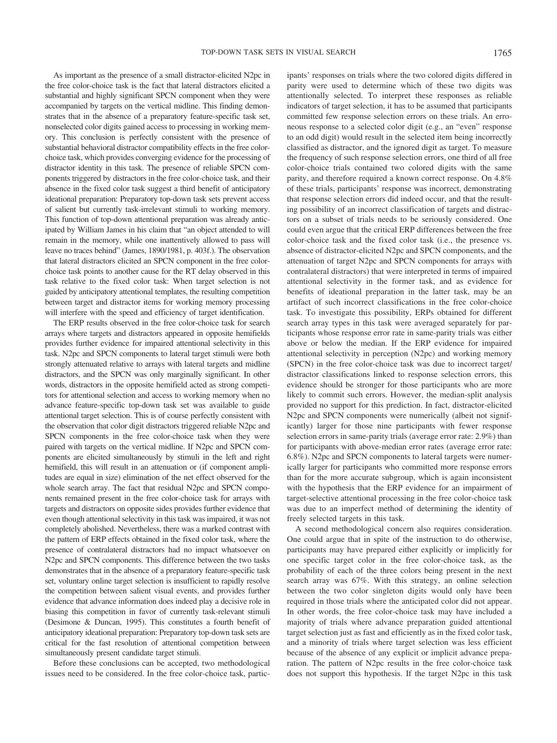As important as the presence of a small distractor-elicited N2pc in the free color-choice task is the fact that lateral distractors elicited a substantial and highly significant SPCN component when they were accompanied by targets on the vertical midline. This finding demonstrates that in the absence of a preparatory feature-specific task set, nonselected color digits gained access to processing in working memory. This conclusion is perfectly consistent with the presence of substantial behavioral distractor compatibility effects in the free colorchoice task, which provides converging evidence for the processing of distractor identity in this task. The presence of reliable SPCN components triggered by distractors in the free color-choice task, and their absence in the fixed color task suggest a third benefit of anticipatory ideational preparation: Preparatory top-down task sets prevent access of salient but currently task-irrelevant stimuli to working memory. This function of top-down attentional preparation was already anticipated by William James in his claim that "an object attended to will remain in the memory, while one inattentively allowed to pass will leave no traces behind" (James, 1890/1981, p. 403f.). The observation that lateral distractors elicited an SPCN component in the free colorchoice task points to another cause for the RT delay observed in this task relative to the fixed color task: When target selection is not guided by anticipatory attentional templates, the resulting competition between target and distractor items for working memory processing will interfere with the speed and efficiency of target identification.

The ERP results observed in the free color-choice task for search arrays where targets and distractors appeared in opposite hemifields provides further evidence for impaired attentional selectivity in this task. N2pc and SPCN components to lateral target stimuli were both strongly attenuated relative to arrays with lateral targets and midline distractors, and the SPCN was only marginally significant. In other words, distractors in the opposite hemifield acted as strong competitors for attentional selection and access to working memory when no advance feature-specific top-down task set was available to guide attentional target selection. This is of course perfectly consistent with the observation that color digit distractors triggered reliable N2pc and SPCN components in the free color-choice task when they were paired with targets on the vertical midline. If N2pc and SPCN components are elicited simultaneously by stimuli in the left and right hemifield, this will result in an attenuation or (if component amplitudes are equal in size) elimination of the net effect observed for the whole search array. The fact that residual N2pc and SPCN components remained present in the free color-choice task for arrays with targets and distractors on opposite sides provides further evidence that even though attentional selectivity in this task was impaired, it was not completely abolished. Nevertheless, there was a marked contrast with the pattern of ERP effects obtained in the fixed color task, where the presence of contralateral distractors had no impact whatsoever on N2pc and SPCN components. This difference between the two tasks demonstrates that in the absence of a preparatory feature-specific task set, voluntary online target selection is insufficient to rapidly resolve the competition between salient visual events, and provides further evidence that advance information does indeed play a decisive role in biasing this competition in favor of currently task-relevant stimuli (Desimone & Duncan, 1995). This constitutes a fourth benefit of anticipatory ideational preparation: Preparatory top-down task sets are critical for the fast resolution of attentional competition between simultaneously present candidate target stimuli.

Before these conclusions can be accepted, two methodological issues need to be considered. In the free color-choice task, partic-

ipants' responses on trials where the two colored digits differed in parity were used to determine which of these two digits was attentionally selected. To interpret these responses as reliable indicators of target selection, it has to be assumed that participants committed few response selection errors on these trials. An erroneous response to a selected color digit (e.g., an "even" response to an odd digit) would result in the selected item being incorrectly classified as distractor, and the ignored digit as target. To measure the frequency of such response selection errors, one third of all free color-choice trials contained two colored digits with the same parity, and therefore required a known correct response. On 4.8% of these trials, participants' response was incorrect, demonstrating that response selection errors did indeed occur, and that the resulting possibility of an incorrect classification of targets and distractors on a subset of trials needs to be seriously considered. One could even argue that the critical ERP differences between the free color-choice task and the fixed color task (i.e., the presence vs. absence of distractor-elicited N2pc and SPCN components, and the attenuation of target N2pc and SPCN components for arrays with contralateral distractors) that were interpreted in terms of impaired attentional selectivity in the former task, and as evidence for benefits of ideational preparation in the latter task, may be an artifact of such incorrect classifications in the free color-choice task. To investigate this possibility, ERPs obtained for different search array types in this task were averaged separately for participants whose response error rate in same-parity trials was either above or below the median. If the ERP evidence for impaired attentional selectivity in perception (N2pc) and working memory (SPCN) in the free color-choice task was due to incorrect target/ distractor classifications linked to response selection errors, this evidence should be stronger for those participants who are more likely to commit such errors. However, the median-split analysis provided no support for this prediction. In fact, distractor-elicited N2pc and SPCN components were numerically (albeit not significantly) larger for those nine participants with fewer response selection errors in same-parity trials (average error rate: 2.9%) than for participants with above-median error rates (average error rate: 6.8%). N2pc and SPCN components to lateral targets were numerically larger for participants who committed more response errors than for the more accurate subgroup, which is again inconsistent with the hypothesis that the ERP evidence for an impairment of target-selective attentional processing in the free color-choice task was due to an imperfect method of determining the identity of freely selected targets in this task.

A second methodological concern also requires consideration. One could argue that in spite of the instruction to do otherwise, participants may have prepared either explicitly or implicitly for one specific target color in the free color-choice task, as the probability of each of the three colors being present in the next search array was 67%. With this strategy, an online selection between the two color singleton digits would only have been required in those trials where the anticipated color did not appear. In other words, the free color-choice task may have included a majority of trials where advance preparation guided attentional target selection just as fast and efficiently as in the fixed color task, and a minority of trials where target selection was less efficient because of the absence of any explicit or implicit advance preparation. The pattern of N2pc results in the free color-choice task does not support this hypothesis. If the target N2pc in this task